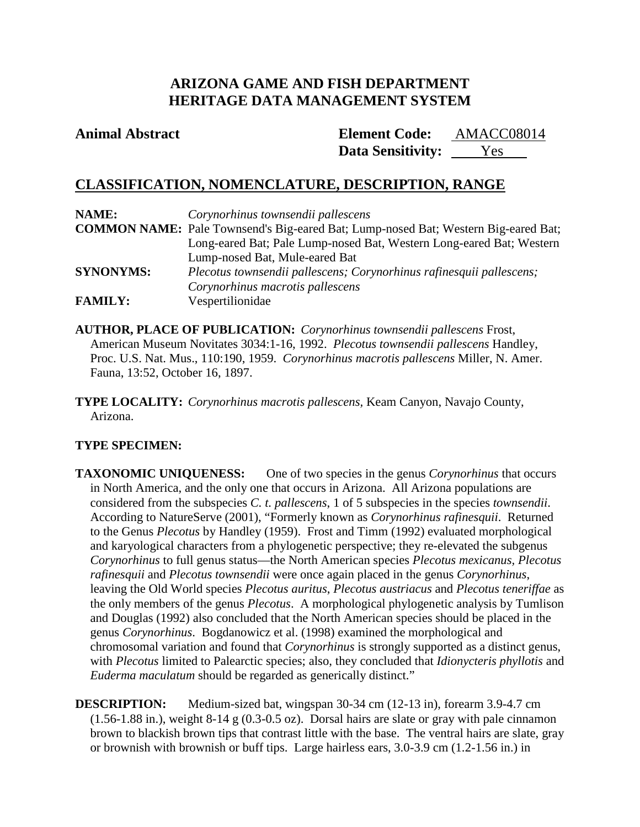# **ARIZONA GAME AND FISH DEPARTMENT HERITAGE DATA MANAGEMENT SYSTEM**

# **Animal Abstract Element Code:**

Data Sensitivity: <u>Yes</u> AMACC08014

# **CLASSIFICATION, NOMENCLATURE, DESCRIPTION, RANGE**

| NAME:            | Corynorhinus townsendii pallescens                                                        |
|------------------|-------------------------------------------------------------------------------------------|
|                  | <b>COMMON NAME:</b> Pale Townsend's Big-eared Bat; Lump-nosed Bat; Western Big-eared Bat; |
|                  | Long-eared Bat; Pale Lump-nosed Bat, Western Long-eared Bat; Western                      |
|                  | Lump-nosed Bat, Mule-eared Bat                                                            |
| <b>SYNONYMS:</b> | Plecotus townsendii pallescens; Corynorhinus rafinesquii pallescens;                      |
|                  | Corynorhinus macrotis pallescens                                                          |
| <b>FAMILY:</b>   | Vespertilionidae                                                                          |

**AUTHOR, PLACE OF PUBLICATION:** *Corynorhinus townsendii pallescens* Frost, American Museum Novitates 3034:1-16, 1992. *Plecotus townsendii pallescens* Handley, Proc. U.S. Nat. Mus., 110:190, 1959. *Corynorhinus macrotis pallescens* Miller, N. Amer. Fauna, 13:52, October 16, 1897.

**TYPE LOCALITY:** *Corynorhinus macrotis pallescens,* Keam Canyon, Navajo County, Arizona.

# **TYPE SPECIMEN:**

**TAXONOMIC UNIQUENESS:** One of two species in the genus *Corynorhinus* that occurs in North America, and the only one that occurs in Arizona. All Arizona populations are considered from the subspecies *C. t. pallescens*, 1 of 5 subspecies in the species *townsendii*. According to NatureServe (2001), "Formerly known as *Corynorhinus rafinesquii*. Returned to the Genus *Plecotus* by Handley (1959). Frost and Timm (1992) evaluated morphological and karyological characters from a phylogenetic perspective; they re-elevated the subgenus *Corynorhinus* to full genus status—the North American species *Plecotus mexicanus, Plecotus rafinesquii* and *Plecotus townsendii* were once again placed in the genus *Corynorhinus*, leaving the Old World species *Plecotus auritus*, *Plecotus austriacus* and *Plecotus teneriffae* as the only members of the genus *Plecotus*. A morphological phylogenetic analysis by Tumlison and Douglas (1992) also concluded that the North American species should be placed in the genus *Corynorhinus*. Bogdanowicz et al. (1998) examined the morphological and chromosomal variation and found that *Corynorhinus* is strongly supported as a distinct genus, with *Plecotus* limited to Palearctic species; also, they concluded that *Idionycteris phyllotis* and *Euderma maculatum* should be regarded as generically distinct."

**DESCRIPTION:** Medium-sized bat, wingspan 30-34 cm (12-13 in), forearm 3.9-4.7 cm (1.56-1.88 in.), weight 8-14 g (0.3-0.5 oz). Dorsal hairs are slate or gray with pale cinnamon brown to blackish brown tips that contrast little with the base. The ventral hairs are slate, gray or brownish with brownish or buff tips. Large hairless ears, 3.0-3.9 cm (1.2-1.56 in.) in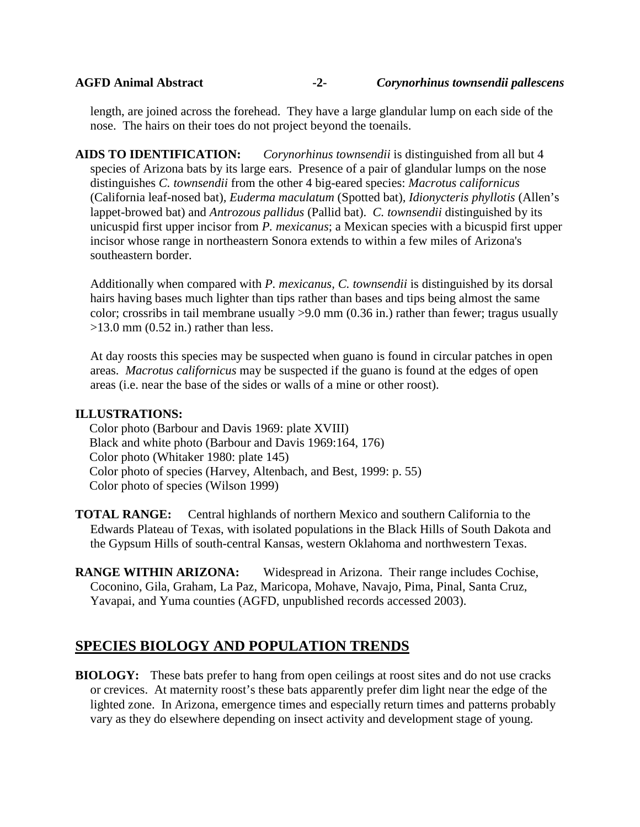length, are joined across the forehead. They have a large glandular lump on each side of the nose. The hairs on their toes do not project beyond the toenails.

**AIDS TO IDENTIFICATION:** *Corynorhinus townsendii* is distinguished from all but 4 species of Arizona bats by its large ears. Presence of a pair of glandular lumps on the nose distinguishes *C. townsendii* from the other 4 big-eared species: *Macrotus californicus* (California leaf-nosed bat)*, Euderma maculatum* (Spotted bat)*, Idionycteris phyllotis* (Allen's lappet-browed bat) and *Antrozous pallidus* (Pallid bat). *C. townsendii* distinguished by its unicuspid first upper incisor from *P. mexicanus*; a Mexican species with a bicuspid first upper incisor whose range in northeastern Sonora extends to within a few miles of Arizona's southeastern border.

Additionally when compared with *P. mexicanus, C. townsendii* is distinguished by its dorsal hairs having bases much lighter than tips rather than bases and tips being almost the same color; crossribs in tail membrane usually >9.0 mm (0.36 in.) rather than fewer; tragus usually  $>13.0$  mm (0.52 in.) rather than less.

At day roosts this species may be suspected when guano is found in circular patches in open areas. *Macrotus californicus* may be suspected if the guano is found at the edges of open areas (i.e. near the base of the sides or walls of a mine or other roost).

## **ILLUSTRATIONS:**

Color photo (Barbour and Davis 1969: plate XVIII) Black and white photo (Barbour and Davis 1969:164, 176) Color photo (Whitaker 1980: plate 145) Color photo of species (Harvey, Altenbach, and Best, 1999: p. 55) Color photo of species (Wilson 1999)

**TOTAL RANGE:** Central highlands of northern Mexico and southern California to the Edwards Plateau of Texas, with isolated populations in the Black Hills of South Dakota and the Gypsum Hills of south-central Kansas, western Oklahoma and northwestern Texas.

**RANGE WITHIN ARIZONA:** Widespread in Arizona. Their range includes Cochise, Coconino, Gila, Graham, La Paz, Maricopa, Mohave, Navajo, Pima, Pinal, Santa Cruz, Yavapai, and Yuma counties (AGFD, unpublished records accessed 2003).

# **SPECIES BIOLOGY AND POPULATION TRENDS**

**BIOLOGY:** These bats prefer to hang from open ceilings at roost sites and do not use cracks or crevices. At maternity roost's these bats apparently prefer dim light near the edge of the lighted zone. In Arizona, emergence times and especially return times and patterns probably vary as they do elsewhere depending on insect activity and development stage of young.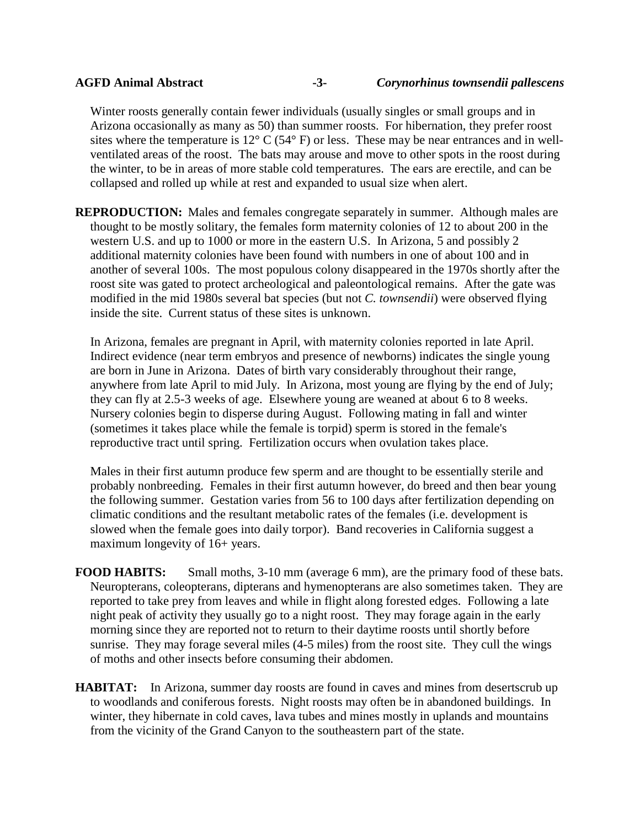Winter roosts generally contain fewer individuals (usually singles or small groups and in Arizona occasionally as many as 50) than summer roosts. For hibernation, they prefer roost sites where the temperature is  $12^{\circ}$  C (54 $^{\circ}$  F) or less. These may be near entrances and in wellventilated areas of the roost. The bats may arouse and move to other spots in the roost during the winter, to be in areas of more stable cold temperatures. The ears are erectile, and can be collapsed and rolled up while at rest and expanded to usual size when alert.

**REPRODUCTION:** Males and females congregate separately in summer. Although males are thought to be mostly solitary, the females form maternity colonies of 12 to about 200 in the western U.S. and up to 1000 or more in the eastern U.S. In Arizona, 5 and possibly 2 additional maternity colonies have been found with numbers in one of about 100 and in another of several 100s. The most populous colony disappeared in the 1970s shortly after the roost site was gated to protect archeological and paleontological remains. After the gate was modified in the mid 1980s several bat species (but not *C. townsendii*) were observed flying inside the site. Current status of these sites is unknown.

In Arizona, females are pregnant in April, with maternity colonies reported in late April. Indirect evidence (near term embryos and presence of newborns) indicates the single young are born in June in Arizona. Dates of birth vary considerably throughout their range, anywhere from late April to mid July. In Arizona, most young are flying by the end of July; they can fly at 2.5-3 weeks of age. Elsewhere young are weaned at about 6 to 8 weeks. Nursery colonies begin to disperse during August. Following mating in fall and winter (sometimes it takes place while the female is torpid) sperm is stored in the female's reproductive tract until spring. Fertilization occurs when ovulation takes place.

Males in their first autumn produce few sperm and are thought to be essentially sterile and probably nonbreeding. Females in their first autumn however, do breed and then bear young the following summer. Gestation varies from 56 to 100 days after fertilization depending on climatic conditions and the resultant metabolic rates of the females (i.e. development is slowed when the female goes into daily torpor). Band recoveries in California suggest a maximum longevity of 16+ years.

- **FOOD HABITS:** Small moths, 3-10 mm (average 6 mm), are the primary food of these bats. Neuropterans, coleopterans, dipterans and hymenopterans are also sometimes taken. They are reported to take prey from leaves and while in flight along forested edges. Following a late night peak of activity they usually go to a night roost. They may forage again in the early morning since they are reported not to return to their daytime roosts until shortly before sunrise. They may forage several miles (4-5 miles) from the roost site. They cull the wings of moths and other insects before consuming their abdomen.
- **HABITAT:** In Arizona, summer day roosts are found in caves and mines from desertscrub up to woodlands and coniferous forests. Night roosts may often be in abandoned buildings. In winter, they hibernate in cold caves, lava tubes and mines mostly in uplands and mountains from the vicinity of the Grand Canyon to the southeastern part of the state.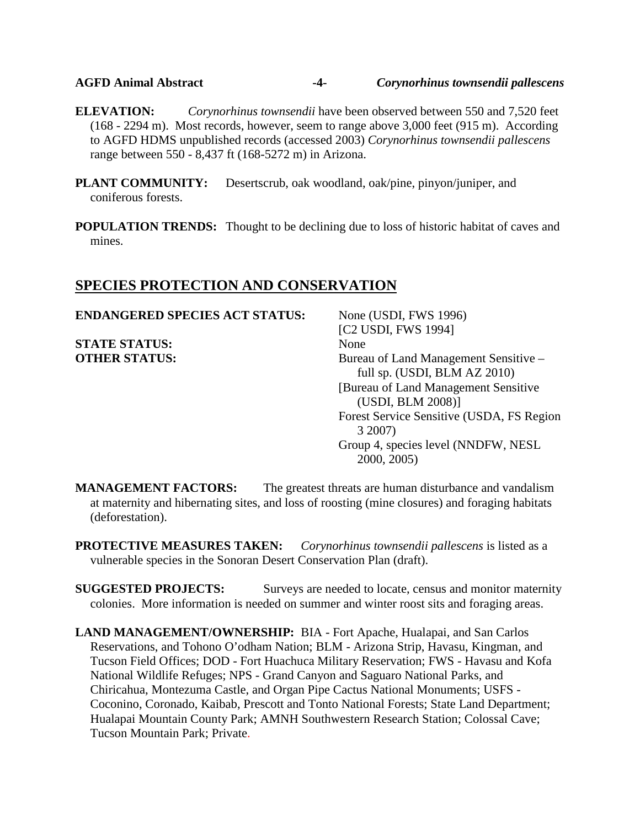## **AGFD Animal Abstract -4-** *Corynorhinus townsendii pallescens*

**ELEVATION:** *Corynorhinus townsendii* have been observed between 550 and 7,520 feet (168 - 2294 m). Most records, however, seem to range above 3,000 feet (915 m). According to AGFD HDMS unpublished records (accessed 2003) *Corynorhinus townsendii pallescens* range between 550 - 8,437 ft (168-5272 m) in Arizona.

**PLANT COMMUNITY:** Desertscrub, oak woodland, oak/pine, pinyon/juniper, and coniferous forests.

**POPULATION TRENDS:** Thought to be declining due to loss of historic habitat of caves and mines.

## **SPECIES PROTECTION AND CONSERVATION**

**STATE STATUS:** None **OTHER STATUS:** Bureau of Land Management Sensitive –

**ENDANGERED SPECIES ACT STATUS:** None (USDI, FWS 1996) [C2 USDI, FWS 1994] full sp. (USDI, BLM AZ 2010) [Bureau of Land Management Sensitive (USDI, BLM 2008)] Forest Service Sensitive (USDA, FS Region 3 2007) Group 4, species level (NNDFW, NESL 2000, 2005)

**MANAGEMENT FACTORS:** The greatest threats are human disturbance and vandalism at maternity and hibernating sites, and loss of roosting (mine closures) and foraging habitats (deforestation).

**PROTECTIVE MEASURES TAKEN:** *Corynorhinus townsendii pallescens* is listed as a vulnerable species in the Sonoran Desert Conservation Plan (draft).

**SUGGESTED PROJECTS:** Surveys are needed to locate, census and monitor maternity colonies. More information is needed on summer and winter roost sits and foraging areas.

**LAND MANAGEMENT/OWNERSHIP:** BIA - Fort Apache, Hualapai, and San Carlos Reservations, and Tohono O'odham Nation; BLM - Arizona Strip, Havasu, Kingman, and Tucson Field Offices; DOD - Fort Huachuca Military Reservation; FWS - Havasu and Kofa National Wildlife Refuges; NPS - Grand Canyon and Saguaro National Parks, and Chiricahua, Montezuma Castle, and Organ Pipe Cactus National Monuments; USFS - Coconino, Coronado, Kaibab, Prescott and Tonto National Forests; State Land Department; Hualapai Mountain County Park; AMNH Southwestern Research Station; Colossal Cave; Tucson Mountain Park; Private.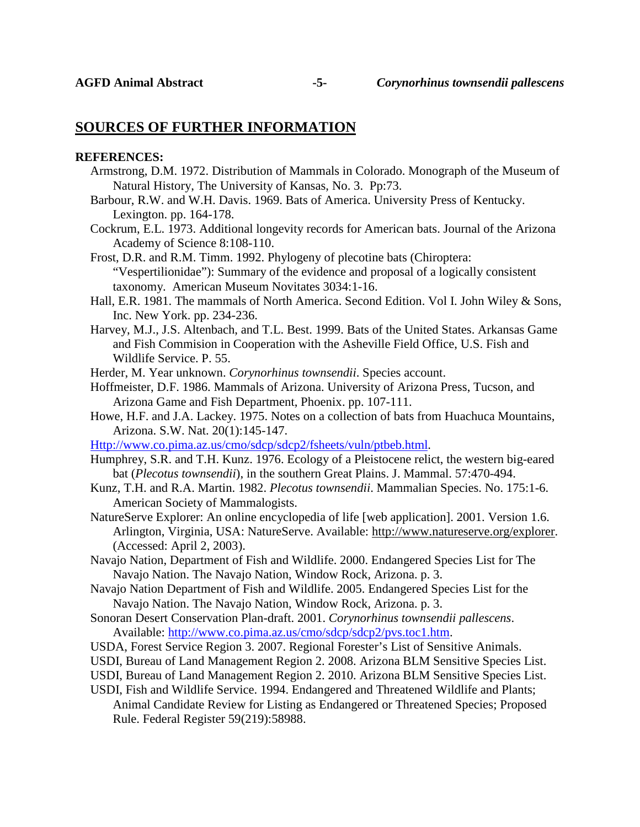## **SOURCES OF FURTHER INFORMATION**

### **REFERENCES:**

- Armstrong, D.M. 1972. Distribution of Mammals in Colorado. Monograph of the Museum of Natural History, The University of Kansas, No. 3. Pp:73.
- Barbour, R.W. and W.H. Davis. 1969. Bats of America. University Press of Kentucky. Lexington. pp. 164-178.
- Cockrum, E.L. 1973. Additional longevity records for American bats. Journal of the Arizona Academy of Science 8:108-110.

Frost, D.R. and R.M. Timm. 1992. Phylogeny of plecotine bats (Chiroptera: "Vespertilionidae"): Summary of the evidence and proposal of a logically consistent taxonomy. American Museum Novitates 3034:1-16.

- Hall, E.R. 1981. The mammals of North America. Second Edition. Vol I. John Wiley & Sons, Inc. New York. pp. 234-236.
- Harvey, M.J., J.S. Altenbach, and T.L. Best. 1999. Bats of the United States. Arkansas Game and Fish Commision in Cooperation with the Asheville Field Office, U.S. Fish and Wildlife Service. P. 55.
- Herder, M. Year unknown. *Corynorhinus townsendii*. Species account.
- Hoffmeister, D.F. 1986. Mammals of Arizona. University of Arizona Press, Tucson, and Arizona Game and Fish Department, Phoenix. pp. 107-111.
- Howe, H.F. and J.A. Lackey. 1975. Notes on a collection of bats from Huachuca Mountains, Arizona. S.W. Nat. 20(1):145-147.
- [Http://www.co.pima.az.us/cmo/sdcp/sdcp2/fsheets/vuln/ptbeb.html.](http://www.co.pima.az.us/cmo/sdcp/sdcp2/fsheets/vuln/ptbeb.html)
- Humphrey, S.R. and T.H. Kunz. 1976. Ecology of a Pleistocene relict, the western big-eared bat (*Plecotus townsendii*), in the southern Great Plains. J. Mammal. 57:470-494.
- Kunz, T.H. and R.A. Martin. 1982. *Plecotus townsendii*. Mammalian Species. No. 175:1-6. American Society of Mammalogists.
- NatureServe Explorer: An online encyclopedia of life [web application]. 2001. Version 1.6. Arlington, Virginia, USA: NatureServe. Available: [http://www.natureserve.org/explorer.](http://www.natureserve.org/explorer) (Accessed: April 2, 2003).
- Navajo Nation, Department of Fish and Wildlife. 2000. Endangered Species List for The Navajo Nation. The Navajo Nation, Window Rock, Arizona. p. 3.
- Navajo Nation Department of Fish and Wildlife. 2005. Endangered Species List for the Navajo Nation. The Navajo Nation, Window Rock, Arizona. p. 3.
- Sonoran Desert Conservation Plan-draft. 2001. *Corynorhinus townsendii pallescens*. Available: [http://www.co.pima.az.us/cmo/sdcp/sdcp2/pvs.toc1.htm.](http://www.co.pima.az.us/cmo/sdcp/sdcp2/pvs.toc1.htm)
- USDA, Forest Service Region 3. 2007. Regional Forester's List of Sensitive Animals.
- USDI, Bureau of Land Management Region 2. 2008. Arizona BLM Sensitive Species List.
- USDI, Bureau of Land Management Region 2. 2010. Arizona BLM Sensitive Species List.
- USDI, Fish and Wildlife Service. 1994. Endangered and Threatened Wildlife and Plants;
- Animal Candidate Review for Listing as Endangered or Threatened Species; Proposed Rule. Federal Register 59(219):58988.